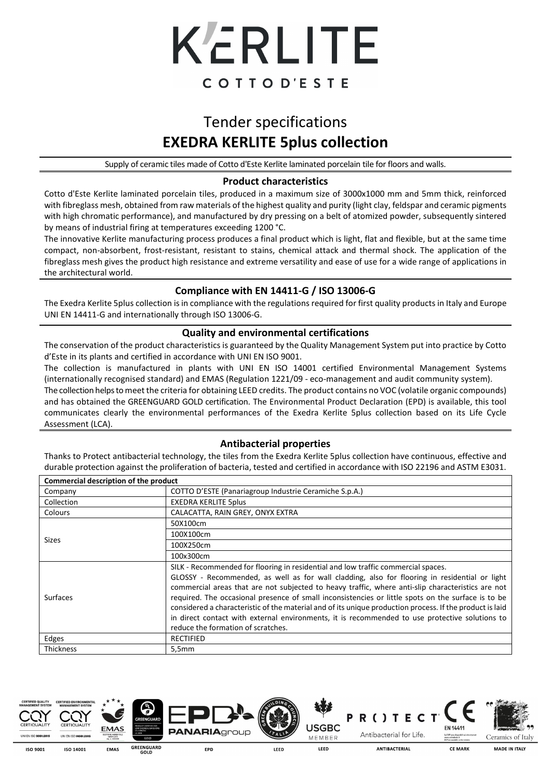

# Tender specifications **EXEDRA KERLITE 5plus collection**

Supply of ceramic tiles made of Cotto d'Este Kerlite laminated porcelain tile for floors and walls.

#### **Product characteristics**

Cotto d'Este Kerlite laminated porcelain tiles, produced in a maximum size of 3000x1000 mm and 5mm thick, reinforced with fibreglass mesh, obtained from raw materials of the highest quality and purity (light clay, feldspar and ceramic pigments with high chromatic performance), and manufactured by dry pressing on a belt of atomized powder, subsequently sintered by means of industrial firing at temperatures exceeding 1200 °C.

The innovative Kerlite manufacturing process produces a final product which is light, flat and flexible, but at the same time compact, non-absorbent, frost-resistant, resistant to stains, chemical attack and thermal shock. The application of the fibreglass mesh gives the product high resistance and extreme versatility and ease of use for a wide range of applications in the architectural world.

## **Compliance with EN 14411-G / ISO 13006-G**

The Exedra Kerlite 5plus collection is in compliance with the regulations required for first quality products in Italy and Europe UNI EN 14411-G and internationally through ISO 13006-G.

#### **Quality and environmental certifications**

The conservation of the product characteristics is guaranteed by the Quality Management System put into practice by Cotto d'Este in its plants and certified in accordance with UNI EN ISO 9001.

The collection is manufactured in plants with UNI EN ISO 14001 certified Environmental Management Systems (internationally recognised standard) and EMAS (Regulation 1221/09 - eco-management and audit community system).

The collection helps to meet the criteria for obtaining LEED credits. The product contains no VOC (volatile organic compounds) and has obtained the GREENGUARD GOLD certification. The Environmental Product Declaration (EPD) is available, this tool communicates clearly the environmental performances of the Exedra Kerlite 5plus collection based on its Life Cycle Assessment (LCA).

#### **Antibacterial properties**

Thanks to Protect antibacterial technology, the tiles from the Exedra Kerlite 5plus collection have continuous, effective and durable protection against the proliferation of bacteria, tested and certified in accordance with ISO 22196 and ASTM E3031.

| Commercial description of the product |                                                                                                                                                                                                                                                                                                                                                                                                                                                                                                                                                                                                                                                   |  |  |  |  |
|---------------------------------------|---------------------------------------------------------------------------------------------------------------------------------------------------------------------------------------------------------------------------------------------------------------------------------------------------------------------------------------------------------------------------------------------------------------------------------------------------------------------------------------------------------------------------------------------------------------------------------------------------------------------------------------------------|--|--|--|--|
| Company                               | COTTO D'ESTE (Panariagroup Industrie Ceramiche S.p.A.)                                                                                                                                                                                                                                                                                                                                                                                                                                                                                                                                                                                            |  |  |  |  |
| Collection                            | <b>EXEDRA KERLITE 5plus</b>                                                                                                                                                                                                                                                                                                                                                                                                                                                                                                                                                                                                                       |  |  |  |  |
| <b>Colours</b>                        | CALACATTA, RAIN GREY, ONYX EXTRA                                                                                                                                                                                                                                                                                                                                                                                                                                                                                                                                                                                                                  |  |  |  |  |
|                                       | 50X100cm                                                                                                                                                                                                                                                                                                                                                                                                                                                                                                                                                                                                                                          |  |  |  |  |
| <b>Sizes</b>                          | 100X100cm                                                                                                                                                                                                                                                                                                                                                                                                                                                                                                                                                                                                                                         |  |  |  |  |
|                                       | 100X250cm                                                                                                                                                                                                                                                                                                                                                                                                                                                                                                                                                                                                                                         |  |  |  |  |
|                                       | 100x300cm                                                                                                                                                                                                                                                                                                                                                                                                                                                                                                                                                                                                                                         |  |  |  |  |
| Surfaces                              | SILK - Recommended for flooring in residential and low traffic commercial spaces.<br>GLOSSY - Recommended, as well as for wall cladding, also for flooring in residential or light<br>commercial areas that are not subjected to heavy traffic, where anti-slip characteristics are not<br>required. The occasional presence of small inconsistencies or little spots on the surface is to be<br>considered a characteristic of the material and of its unique production process. If the product is laid<br>in direct contact with external environments, it is recommended to use protective solutions to<br>reduce the formation of scratches. |  |  |  |  |
| Edges                                 | <b>RECTIFIED</b>                                                                                                                                                                                                                                                                                                                                                                                                                                                                                                                                                                                                                                  |  |  |  |  |
| <b>Thickness</b>                      | 5,5mm                                                                                                                                                                                                                                                                                                                                                                                                                                                                                                                                                                                                                                             |  |  |  |  |